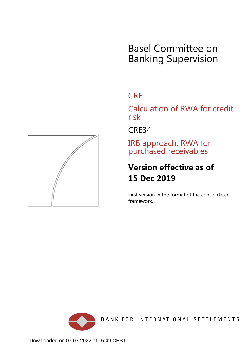# Basel Committee on Banking Supervision

## **CRE**

Calculation of RWA for credit risk

CRE34

IRB approach: RWA for purchased receivables

## **Version effective as of 15 Dec 2019**

First version in the format of the consolidated framework.



BANK FOR INTERNATIONAL SETTLEMENTS

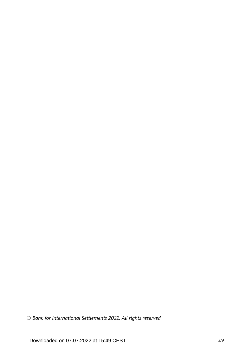*© Bank for International Settlements 2022. All rights reserved.*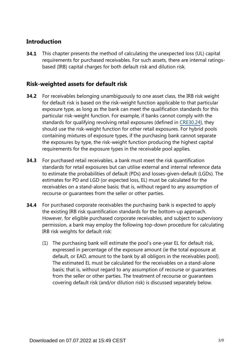## **Introduction**

This chapter presents the method of calculating the unexpected loss (UL) capital requirements for purchased receivables. For such assets, there are internal ratingsbased (IRB) capital charges for both default risk and dilution risk. **34.1**

## **Risk-weighted assets for default risk**

- For receivables belonging unambiguously to one asset class, the IRB risk weight for default risk is based on the risk-weight function applicable to that particular exposure type, as long as the bank can meet the qualification standards for this particular risk-weight function. For example, if banks cannot comply with the standards for qualifying revolving retail exposures (defined in [CRE30.24\)](https://www.bis.org/basel_framework/chapter/CRE/30.htm?tldate=20220101&inforce=20191215&published=20191215#paragraph_CRE_30_20191215_30_24), they should use the risk-weight function for other retail exposures. For hybrid pools containing mixtures of exposure types, if the purchasing bank cannot separate the exposures by type, the risk-weight function producing the highest capital requirements for the exposure types in the receivable pool applies. **34.2**
- For purchased retail receivables, a bank must meet the risk quantification standards for retail exposures but can utilise external and internal reference data to estimate the probabilities of default (PDs) and losses-given-default (LGDs). The estimates for PD and LGD (or expected loss, EL) must be calculated for the receivables on a stand-alone basis; that is, without regard to any assumption of recourse or guarantees from the seller or other parties. **34.3**
- For purchased corporate receivables the purchasing bank is expected to apply the existing IRB risk quantification standards for the bottom-up approach. However, for eligible purchased corporate receivables, and subject to supervisory permission, a bank may employ the following top-down procedure for calculating IRB risk weights for default risk: **34.4**
	- (1) The purchasing bank will estimate the pool's one-year EL for default risk, expressed in percentage of the exposure amount (ie the total exposure at default, or EAD, amount to the bank by all obligors in the receivables pool). The estimated EL must be calculated for the receivables on a stand-alone basis; that is, without regard to any assumption of recourse or guarantees from the seller or other parties. The treatment of recourse or guarantees covering default risk (and/or dilution risk) is discussed separately below.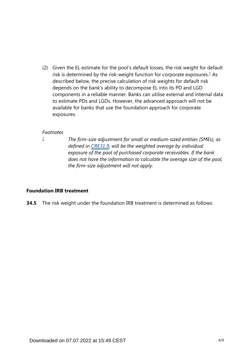<span id="page-3-1"></span>(2) Given the EL estimate for the pool's default losses, the risk weight for default risk is determined by the risk-weight function for corporate exposures. $<sup>1</sup>$  $<sup>1</sup>$  $<sup>1</sup>$  As</sup> described below, the precise calculation of risk weights for default risk depends on the bank's ability to decompose EL into its PD and LGD components in a reliable manner. Banks can utilise external and internal data to estimate PDs and LGDs. However, the advanced approach will not be available for banks that use the foundation approach for corporate exposures.

#### *Footnotes*

<span id="page-3-0"></span>*[1](#page-3-1)*

*The firm-size adjustment for small or medium-sized entities (SMEs), as defined in [CRE31.9,](https://www.bis.org/basel_framework/chapter/CRE/31.htm?tldate=20220101&inforce=20191215&published=20191215#paragraph_CRE_31_20191215_31_9) will be the weighted average by individual exposure of the pool of purchased corporate receivables. If the bank does not have the information to calculate the average size of the pool, the firm-size adjustment will not apply.*

#### **Foundation IRB treatment**

**34.5** The risk weight under the foundation IRB treatment is determined as follows: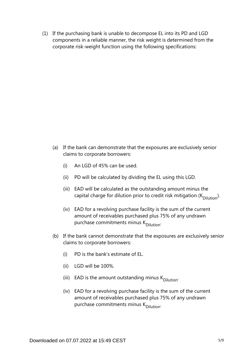(1) If the purchasing bank is unable to decompose EL into its PD and LGD components in a reliable manner, the risk weight is determined from the corporate risk-weight function using the following specifications:

- (a) If the bank can demonstrate that the exposures are exclusively senior claims to corporate borrowers:
	- (i) An LGD of 45% can be used.
	- (ii) PD will be calculated by dividing the EL using this LGD.
	- (iii) EAD will be calculated as the outstanding amount minus the capital charge for dilution prior to credit risk mitigation ( $K_{\text{Dilution}}$ ).
	- (iv) EAD for a revolving purchase facility is the sum of the current amount of receivables purchased plus 75% of any undrawn purchase commitments minus K<sub>Dilution</sub>.
- (b) If the bank cannot demonstrate that the exposures are exclusively senior claims to corporate borrowers:
	- (i) PD is the bank's estimate of EL.
	- (ii) LGD will be 100%.
	- (iii) EAD is the amount outstanding minus  $K_{\text{Dilution}}$ .
	- (iv) EAD for a revolving purchase facility is the sum of the current amount of receivables purchased plus 75% of any undrawn purchase commitments minus K<sub>Dilution</sub>.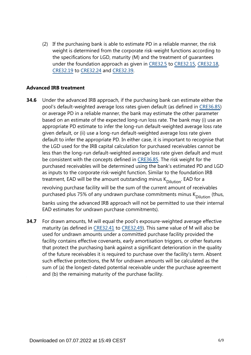(2) If the purchasing bank is able to estimate PD in a reliable manner, the risk weight is determined from the corporate risk-weight functions according to the specifications for LGD, maturity (M) and the treatment of guarantees under the foundation approach as given in [CRE32.5](https://www.bis.org/basel_framework/chapter/CRE/32.htm?tldate=20220101&inforce=20191215&published=20191215#paragraph_CRE_32_20191215_32_5) to [CRE32.15,](https://www.bis.org/basel_framework/chapter/CRE/32.htm?tldate=20220101&inforce=20191215&published=20191215#paragraph_CRE_32_20191215_32_15) [CRE32.18,](https://www.bis.org/basel_framework/chapter/CRE/32.htm?tldate=20220101&inforce=20191215&published=20191215#paragraph_CRE_32_20191215_32_18) [CRE32.19](https://www.bis.org/basel_framework/chapter/CRE/32.htm?tldate=20220101&inforce=20191215&published=20191215#paragraph_CRE_32_20191215_32_19) to [CRE32.24](https://www.bis.org/basel_framework/chapter/CRE/32.htm?tldate=20220101&inforce=20191215&published=20191215#paragraph_CRE_32_20191215_32_24) and [CRE32.39](https://www.bis.org/basel_framework/chapter/CRE/32.htm?tldate=20220101&inforce=20191215&published=20191215#paragraph_CRE_32_20191215_32_39).

#### **Advanced IRB treatment**

- Under the advanced IRB approach, if the purchasing bank can estimate either the pool's default-weighted average loss rates given default (as defined in [CRE36.85](https://www.bis.org/basel_framework/chapter/CRE/36.htm?tldate=20220101&inforce=20191215&published=20191215#paragraph_CRE_36_20191215_36_85)) or average PD in a reliable manner, the bank may estimate the other parameter based on an estimate of the expected long-run loss rate. The bank may (i) use an appropriate PD estimate to infer the long-run default-weighted average loss rate given default, or (ii) use a long-run default-weighted average loss rate given default to infer the appropriate PD. In either case, it is important to recognise that the LGD used for the IRB capital calculation for purchased receivables cannot be less than the long-run default-weighted average loss rate given default and must be consistent with the concepts defined in [CRE36.85.](https://www.bis.org/basel_framework/chapter/CRE/36.htm?tldate=20220101&inforce=20191215&published=20191215#paragraph_CRE_36_20191215_36_85) The risk weight for the purchased receivables will be determined using the bank's estimated PD and LGD as inputs to the corporate risk-weight function. Similar to the foundation IRB treatment, EAD will be the amount outstanding minus  $K_{\text{Dilution}}$ . EAD for a revolving purchase facility will be the sum of the current amount of receivables purchased plus 75% of any undrawn purchase commitments minus  $K_{\text{Dilution}}$  (thus, banks using the advanced IRB approach will not be permitted to use their internal EAD estimates for undrawn purchase commitments). **34.6**
- For drawn amounts, M will equal the pool's exposure-weighted average effective maturity (as defined in [CRE32.41](https://www.bis.org/basel_framework/chapter/CRE/32.htm?tldate=20220101&inforce=20191215&published=20191215#paragraph_CRE_32_20191215_32_41) to [CRE32.49](https://www.bis.org/basel_framework/chapter/CRE/32.htm?tldate=20220101&inforce=20191215&published=20191215#paragraph_CRE_32_20191215_32_49)). This same value of M will also be used for undrawn amounts under a committed purchase facility provided the facility contains effective covenants, early amortisation triggers, or other features that protect the purchasing bank against a significant deterioration in the quality of the future receivables it is required to purchase over the facility's term. Absent such effective protections, the M for undrawn amounts will be calculated as the sum of (a) the longest-dated potential receivable under the purchase agreement and (b) the remaining maturity of the purchase facility. **34.7**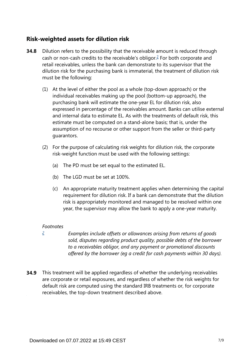## **Risk-weighted assets for dilution risk**

- <span id="page-6-1"></span>Dilution refers to the possibility that the receivable amount is reduced through cash or non-cash credits to the receivable's obligor. $\frac{2}{5}$  $\frac{2}{5}$  $\frac{2}{5}$  For both corporate and retail receivables, unless the bank can demonstrate to its supervisor that the dilution risk for the purchasing bank is immaterial, the treatment of dilution risk must be the following: **34.8**
	- (1) At the level of either the pool as a whole (top-down approach) or the individual receivables making up the pool (bottom-up approach), the purchasing bank will estimate the one-year EL for dilution risk, also expressed in percentage of the receivables amount. Banks can utilise external and internal data to estimate EL. As with the treatments of default risk, this estimate must be computed on a stand-alone basis; that is, under the assumption of no recourse or other support from the seller or third-party guarantors.
	- (2) For the purpose of calculating risk weights for dilution risk, the corporate risk-weight function must be used with the following settings:
		- (a) The PD must be set equal to the estimated EL.
		- (b) The LGD must be set at 100%.
		- (c) An appropriate maturity treatment applies when determining the capital requirement for dilution risk. If a bank can demonstrate that the dilution risk is appropriately monitored and managed to be resolved within one year, the supervisor may allow the bank to apply a one-year maturity.

#### *Footnotes*

<span id="page-6-0"></span>*[2](#page-6-1)*

*Examples include offsets or allowances arising from returns of goods sold, disputes regarding product quality, possible debts of the borrower to a receivables obligor, and any payment or promotional discounts offered by the borrower (eg a credit for cash payments within 30 days).*

**34.9** This treatment will be applied regardless of whether the underlying receivables are corporate or retail exposures, and regardless of whether the risk weights for default risk are computed using the standard IRB treatments or, for corporate receivables, the top-down treatment described above.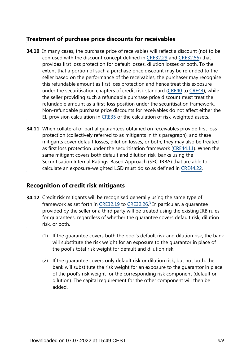## **Treatment of purchase price discounts for receivables**

- **34.10** In many cases, the purchase price of receivables will reflect a discount (not to be confused with the discount concept defined in [CRE32.29](https://www.bis.org/basel_framework/chapter/CRE/32.htm?tldate=20220101&inforce=20191215&published=20191215#paragraph_CRE_32_20191215_32_29) and [CRE32.55\)](https://www.bis.org/basel_framework/chapter/CRE/32.htm?tldate=20220101&inforce=20191215&published=20191215#paragraph_CRE_32_20191215_32_55) that provides first loss protection for default losses, dilution losses or both. To the extent that a portion of such a purchase price discount may be refunded to the seller based on the performance of the receivables, the purchaser may recognise this refundable amount as first loss protection and hence treat this exposure under the securitisation chapters of credit risk standard [\(CRE40](https://www.bis.org/basel_framework/chapter/CRE/40.htm?tldate=20220101&inforce=20191215&published=20191215) to [CRE44\)](https://www.bis.org/basel_framework/chapter/CRE/44.htm?tldate=20220101&inforce=20191215&published=20191215), while the seller providing such a refundable purchase price discount must treat the refundable amount as a first-loss position under the securitisation framework. Non-refundable purchase price discounts for receivables do not affect either the EL-provision calculation in [CRE35](https://www.bis.org/basel_framework/chapter/CRE/35.htm?tldate=20220101&inforce=20191215&published=20191215) or the calculation of risk-weighted assets.
- **34.11** When collateral or partial guarantees obtained on receivables provide first loss protection (collectively referred to as mitigants in this paragraph), and these mitigants cover default losses, dilution losses, or both, they may also be treated as first loss protection under the securitisation framework [\(CRE44.11](https://www.bis.org/basel_framework/chapter/CRE/44.htm?tldate=20220101&inforce=20191215&published=20191215#paragraph_CRE_44_20191215_44_11)). When the same mitigant covers both default and dilution risk, banks using the Securitisation Internal Ratings-Based Approach (SEC-IRBA) that are able to calculate an exposure-weighted LGD must do so as defined in [CRE44.22.](https://www.bis.org/basel_framework/chapter/CRE/44.htm?tldate=20220101&inforce=20191215&published=20191215#paragraph_CRE_44_20191215_44_22)

### **Recognition of credit risk mitigants**

- <span id="page-7-0"></span>**34.12** Credit risk mitigants will be recognised generally using the same type of framework as set forth in [CRE32.19](https://www.bis.org/basel_framework/chapter/CRE/32.htm?tldate=20220101&inforce=20191215&published=20191215#paragraph_CRE_32_20191215_32_19) to [CRE32.26](https://www.bis.org/basel_framework/chapter/CRE/32.htm?tldate=20220101&inforce=20191215&published=20191215#paragraph_CRE_32_20191215_32_26).<sup>[3](#page-8-0)</sup> In particular, a guarantee provided by the seller or a third party will be treated using the existing IRB rules for guarantees, regardless of whether the guarantee covers default risk, dilution risk, or both.
	- (1) If the guarantee covers both the pool's default risk and dilution risk, the bank will substitute the risk weight for an exposure to the guarantor in place of the pool's total risk weight for default and dilution risk.
	- (2) If the guarantee covers only default risk or dilution risk, but not both, the bank will substitute the risk weight for an exposure to the guarantor in place of the pool's risk weight for the corresponding risk component (default or dilution). The capital requirement for the other component will then be added.